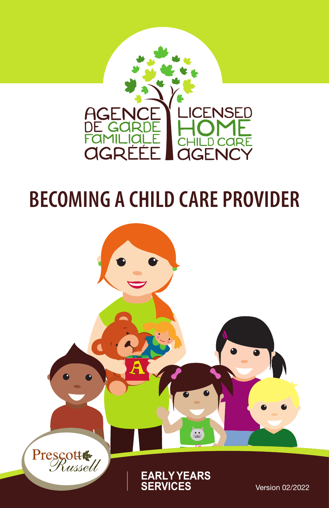

# **BECOMING A CHILD CARE PROVIDER**

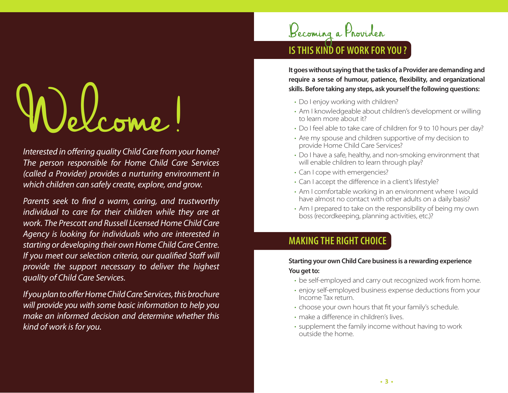# Welcome!

*Interested in offering quality Child Care from your home? The person responsible for Home Child Care Services (called a Provider) provides a nurturing environment in which children can safely create, explore, and grow.*

*Parents seek to find a warm, caring, and trustworthy individual to care for their children while they are at work. The Prescott and Russell Licensed Home Child Care Agency is looking for individuals who are interested in starting or developing their own Home Child Care Centre. If you meet our selection criteria, our qualified Staff will provide the support necessary to deliver the highest quality of Child Care Services.*

*If you plan to offer Home Child Care Services, this brochure will provide you with some basic information to help you make an informed decision and determine whether this kind of work is for you.*



**It goes without saying that the tasks of a Provider are demanding and require a sense of humour, patience, flexibility, and organizational skills. Before taking any steps, ask yourself the following questions:**

- Do I enjoy working with children?
- Am I knowledgeable about children's development or willing to learn more about it?
- Do I feel able to take care of children for 9 to 10 hours per day?
- Are my spouse and children supportive of my decision to provide Home Child Care Services?
- Do I have a safe, healthy, and non-smoking environment that will enable children to learn through play?
- Can I cope with emergencies?
- Can I accept the difference in a client's lifestyle?
- Am I comfortable working in an environment where I would have almost no contact with other adults on a daily basis?
- Am I prepared to take on the responsibility of being my own boss (recordkeeping, planning activities, etc.)?

# **MAKING THE RIGHT CHOICE**

#### **Starting your own Child Care business is a rewarding experience You get to:**

- be self-employed and carry out recognized work from home.
- enjoy self-employed business expense deductions from your Income Tax return.
- choose your own hours that fit your family's schedule.
- make a difference in children's lives.
- supplement the family income without having to work outside the home.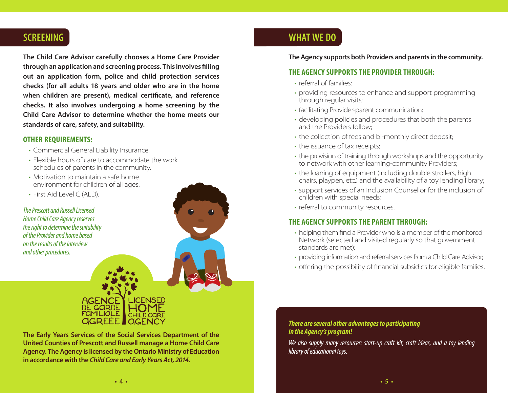# **SCREENING**

**The Child Care Advisor carefully chooses a Home Care Provider through an application and screening process. This involves filling out an application form, police and child protection services checks (for all adults 18 years and older who are in the home when children are present), medical certificate, and reference checks. It also involves undergoing a home screening by the Child Care Advisor to determine whether the home meets our standards of care, safety, and suitability.**

#### **OTHER REQUIREMENTS:**

- Commercial General Liability Insurance.
- Flexible hours of care to accommodate the work schedules of parents in the community.
- Motivation to maintain a safe home environment for children of all ages.
- First Aid Level C (AED).

*The Prescott and Russell Licensed Home Child Care Agency reserves the right to determine the suitability of the Provider and home based on the results of the interview and other procedures.*

# **WHAT WE DO**

#### **The Agency supports both Providers and parents in the community.**

#### **THE AGENCY SUPPORTS THE PROVIDER THROUGH:**

- referral of families;
- providing resources to enhance and support programming through regular visits;
- facilitating Provider-parent communication;
- developing policies and procedures that both the parents and the Providers follow;
- the collection of fees and bi-monthly direct deposit;
- the issuance of tax receipts;
- the provision of training through workshops and the opportunity to network with other learning-community Providers;
- the loaning of equipment (including double strollers, high chairs, playpen, etc.) and the availability of a toy lending library;
- support services of an Inclusion Counsellor for the inclusion of children with special needs;
- referral to community resources.

#### **THE AGENCY SUPPORTS THE PARENT THROUGH:**

- helping them find a Provider who is a member of the monitored Network (selected and visited regularly so that government standards are met);
- providing information and referral services from a Child Care Advisor;
- offering the possibility of financial subsidies for eligible families.

#### *There are several other advantages to participating in the Agency's program!*

*We also supply many resources: start-up craft kit, craft ideas, and a toy lending library of educational toys.*



**The Early Years Services of the Social Services Department of the United Counties of Prescott and Russell manage a Home Child Care Agency. The Agency is licensed by the Ontario Ministry of Education in accordance with the** *Child Care and Early Years Act, 2014.*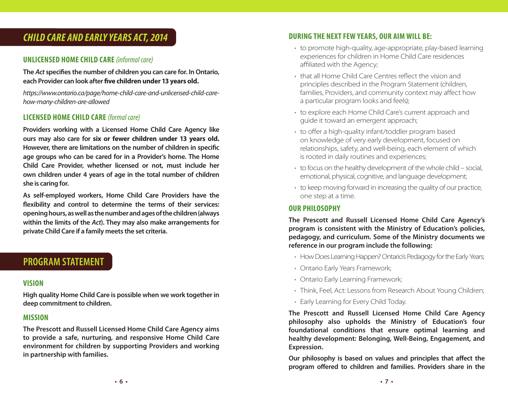# *CHILD CARE AND EARLY YEARS ACT, 2014*

#### **UNLICENSED HOME CHILD CARE** *(informal care)*

**The** *Act* **specifies the number of children you can care for. In Ontario, each Provider can look after five children under 13 years old.**

*https://www.ontario.ca/page/home-child-care-and-unlicensed-child-carehow-many-children-are-allowed* 

#### **LICENSED HOME CHILD CARE** *(formal care)*

**Providers working with a Licensed Home Child Care Agency like ours may also care for six or fewer children under 13 years old. However, there are limitations on the number of children in specific age groups who can be cared for in a Provider's home. The Home Child Care Provider, whether licensed or not, must include her own children under 4 years of age in the total number of children she is caring for.**

**As self-employed workers, Home Child Care Providers have the flexibility and control to determine the terms of their services: opening hours, as well as the number and ages of the children (always within the limits of the** *Act***). They may also make arrangements for private Child Care if a family meets the set criteria.** 

## **PROGRAM STATEMENT**

#### **VISION**

**High quality Home Child Care is possible when we work together in deep commitment to children.**

#### **MISSION**

**The Prescott and Russell Licensed Home Child Care Agency aims to provide a safe, nurturing, and responsive Home Child Care environment for children by supporting Providers and working in partnership with families.**

#### **DURING THE NEXT FEW YEARS, OUR AIM WILL BE:**

- to promote high-quality, age-appropriate, play-based learning experiences for children in Home Child Care residences affiliated with the Agency;
- that all Home Child Care Centres reflect the vision and principles described in the Program Statement (children, families, Providers, and community context may affect how a particular program looks and feels);
- to explore each Home Child Care's current approach and guide it toward an emergent approach;
- to offer a high-quality infant/toddler program based on knowledge of very early development, focused on relationships, safety, and well-being, each element of which is rooted in daily routines and experiences;
- to focus on the healthy development of the whole child social, emotional, physical, cognitive, and language development;
- to keep moving forward in increasing the quality of our practice, one step at a time.

#### **OUR PHILOSOPHY**

**The Prescott and Russell Licensed Home Child Care Agency's program is consistent with the Ministry of Education's policies, pedagogy, and curriculum. Some of the Ministry documents we reference in our program include the following:** 

- How Does Learning Happen? Ontario's Pedagogy for the Early Years;
- Ontario Early Years Framework;
- Ontario Early Learning Framework;
- Think, Feel, Act: Lessons from Research About Young Children;
- Early Learning for Every Child Today.

**The Prescott and Russell Licensed Home Child Care Agency philosophy also upholds the Ministry of Education's four foundational conditions that ensure optimal learning and healthy development: Belonging, Well-Being, Engagement, and Expression.** 

**Our philosophy is based on values and principles that affect the program offered to children and families. Providers share in the**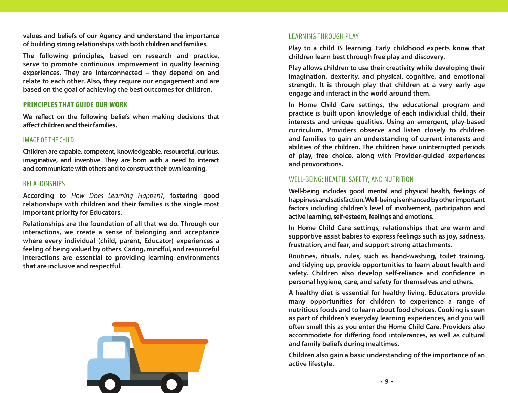**values and beliefs of our Agency and understand the importance of building strong relationships with both children and families.** 

**The following principles, based on research and practice, serve to promote continuous improvement in quality learning experiences. They are interconnected – they depend on and relate to each other. Also, they require our engagement and are based on the goal of achieving the best outcomes for children.** 

#### **PRINCIPLES THAT GUIDE OUR WORK**

**We reflect on the following beliefs when making decisions that affect children and their families.**

#### IMAGE OF THE CHILD

**Children are capable, competent, knowledgeable, resourceful, curious, imaginative, and inventive. They are born with a need to interact and communicate with others and to construct their own learning.**

#### RELATIONSHIPS

**According to** *How Does Learning Happen?***, fostering good relationships with children and their families is the single most important priority for Educators.** 

**Relationships are the foundation of all that we do. Through our interactions, we create a sense of belonging and acceptance where every individual (child, parent, Educator) experiences a feeling of being valued by others. Caring, mindful, and resourceful interactions are essential to providing learning environments that are inclusive and respectful.**



#### LEARNING THROUGH PLAY

**Play to a child IS learning. Early childhood experts know that children learn best through free play and discovery.**

**Play allows children to use their creativity while developing their imagination, dexterity, and physical, cognitive, and emotional strength. It is through play that children at a very early age engage and interact in the world around them.**

**In Home Child Care settings, the educational program and practice is built upon knowledge of each individual child, their interests and unique qualities. Using an emergent, play-based curriculum, Providers observe and listen closely to children and families to gain an understanding of current interests and abilities of the children. The children have uninterrupted periods of play, free choice, along with Provider-guided experiences and provocations.**

#### WELL-BEING: HEALTH, SAFETY, AND NUTRITION

**Well-being includes good mental and physical health, feelings of happiness and satisfaction. Well-being is enhanced by other important factors including children's level of involvement, participation and active learning, self-esteem, feelings and emotions.**

**In Home Child Care settings, relationships that are warm and supportive assist babies to express feelings such as joy, sadness, frustration, and fear, and support strong attachments.**

**Routines, rituals, rules, such as hand-washing, toilet training, and tidying up, provide opportunities to learn about health and safety. Children also develop self-reliance and confidence in personal hygiene, care, and safety for themselves and others.** 

**A healthy diet is essential for healthy living. Educators provide many opportunities for children to experience a range of nutritious foods and to learn about food choices. Cooking is seen as part of children's everyday learning experiences, and you will often smell this as you enter the Home Child Care. Providers also accommodate for differing food intolerances, as well as cultural and family beliefs during mealtimes.**

**Children also gain a basic understanding of the importance of an active lifestyle.**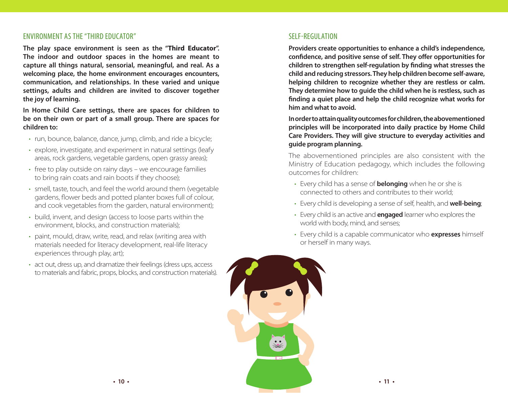#### ENVIRONMENT AS THE "THIRD EDUCATOR"

**The play space environment is seen as the "Third Educator". The indoor and outdoor spaces in the homes are meant to capture all things natural, sensorial, meaningful, and real. As a welcoming place, the home environment encourages encounters, communication, and relationships. In these varied and unique settings, adults and children are invited to discover together the joy of learning.** 

**In Home Child Care settings, there are spaces for children to be on their own or part of a small group. There are spaces for children to:**

- run, bounce, balance, dance, jump, climb, and ride a bicycle;
- explore, investigate, and experiment in natural settings (leafy areas, rock gardens, vegetable gardens, open grassy areas);
- free to play outside on rainy days we encourage families to bring rain coats and rain boots if they choose);
- smell, taste, touch, and feel the world around them (vegetable gardens, flower beds and potted planter boxes full of colour, and cook vegetables from the garden, natural environment);
- build, invent, and design (access to loose parts within the environment, blocks, and construction materials);
- paint, mould, draw, write, read, and relax (writing area with materials needed for literacy development, real-life literacy experiences through play, art);
- act out, dress up, and dramatize their feelings (dress ups, access to materials and fabric, props, blocks, and construction materials).

#### SELF-REGULATION

**Providers create opportunities to enhance a child's independence, confidence, and positive sense of self. They offer opportunities for children to strengthen self-regulation by finding what stresses the child and reducing stressors. They help children become self-aware, helping children to recognize whether they are restless or calm. They determine how to guide the child when he is restless, such as finding a quiet place and help the child recognize what works for him and what to avoid.** 

**In order to attain quality outcomes for children, the abovementioned principles will be incorporated into daily practice by Home Child Care Providers. They will give structure to everyday activities and guide program planning.**

The abovementioned principles are also consistent with the Ministry of Education pedagogy, which includes the following outcomes for children:

- Every child has a sense of **belonging** when he or she is connected to others and contributes to their world;
- Every child is developing a sense of self, health, and **well-being**;
- Every child is an active and **engaged** learner who explores the world with body, mind, and senses;
- Every child is a capable communicator who **expresses** himself or herself in many ways.

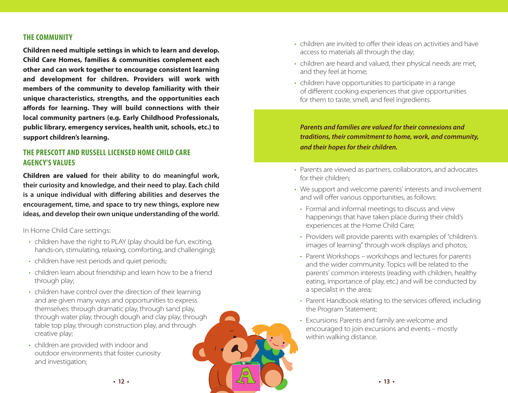#### **THE COMMUNITY**

**Children need multiple settings in which to learn and develop. Child Care Homes, families & communities complement each other and can work together to encourage consistent learning and development for children. Providers will work with members of the community to develop familiarity with their unique characteristics, strengths, and the opportunities each affords for learning. They will build connections with their local community partners (e.g. Early Childhood Professionals, public library, emergency services, health unit, schools, etc.) to support children's learning.** 

#### **THE PRESCOTT AND RUSSELL LICENSED HOME CHILD CARE AGENCY'S VALUES**

**Children are valued for their ability to do meaningful work, their curiosity and knowledge, and their need to play. Each child is a unique individual with differing abilities and deserves the encouragement, time, and space to try new things, explore new ideas, and develop their own unique understanding of the world.** 

In Home Child Care settings:

- children have the right to PLAY (play should be fun, exciting, hands-on, stimulating, relaxing, comforting, and challenging);
- children have rest periods and quiet periods;
- children learn about friendship and learn how to be a friend through play;
- children have control over the direction of their learning and are given many ways and opportunities to express themselves: through dramatic play, through sand play, through water play, through dough and clay play, through table top play, through construction play, and through creative play;
- children are provided with indoor and outdoor environments that foster curiosity and investigation;
- children are invited to offer their ideas on activities and have access to materials all through the day;
- children are heard and valued, their physical needs are met, and they feel at home;
- children have opportunities to participate in a range of different cooking experiences that give opportunities for them to taste, smell, and feel ingredients.

*Parents and families are valued for their connexions and traditions, their commitment to home, work, and community, and their hopes for their children.*

- Parents are viewed as partners, collaborators, and advocates for their children;
- We support and welcome parents' interests and involvement and will offer various opportunities, as follows:
- Formal and informal meetings to discuss and view happenings that have taken place during their child's experiences at the Home Child Care;
- Providers will provide parents with examples of "children's images of learning" through work displays and photos;
- Parent Workshops workshops and lectures for parents and the wider community. Topics will be related to the parents' common interests (reading with children, healthy eating, importance of play, etc.) and will be conducted by a specialist in the area;
- Parent Handbook relating to the services offered, including the Program Statement;
- Excursions: Parents and family are welcome and encouraged to join excursions and events – mostly within walking distance.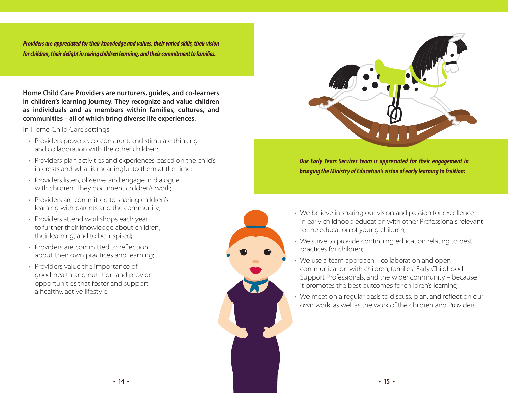*Providers are appreciated for their knowledge and values, their varied skills, their vision for children, their delight in seeing children learning, and their commitment to families.* 

**Home Child Care Providers are nurturers, guides, and co-learners in children's learning journey. They recognize and value children as individuals and as members within families, cultures, and communities – all of which bring diverse life experiences.**

In Home Child Care settings:

- Providers provoke, co-construct, and stimulate thinking and collaboration with the other children;
- Providers plan activities and experiences based on the child's interests and what is meaningful to them at the time;
- Providers listen, observe, and engage in dialogue with children. They document children's work;
- Providers are committed to sharing children's learning with parents and the community;
- Providers attend workshops each year to further their knowledge about children, their learning, and to be inspired;
- Providers are committed to reflection about their own practices and learning;
- Providers value the importance of good health and nutrition and provide opportunities that foster and support a healthy, active lifestyle.



*Our Early Years Services team is appreciated for their engagement in bringing the Ministry of Education's vision of early learning to fruition:*

- We believe in sharing our vision and passion for excellence in early childhood education with other Professionals relevant to the education of young children;
- We strive to provide continuing education relating to best practices for children;
- We use a team approach collaboration and open communication with children, families, Early Childhood Support Professionals, and the wider community – because it promotes the best outcomes for children's learning;
- We meet on a regular basis to discuss, plan, and reflect on our own work, as well as the work of the children and Providers.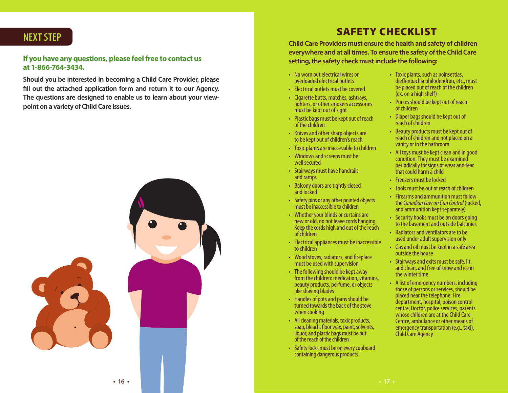# **NEXT STEP**

#### **If you have any questions, please feel free to contact us at 1-866-764-3434.**

**Should you be interested in becoming a Child Care Provider, please fill out the attached application form and return it to our Agency. The questions are designed to enable us to learn about your viewpoint on a variety of Child Care issues.**



# SAFETY CHECKLIST

**Child Care Providers must ensure the health and safety of children everywhere and at all times. To ensure the safety of the Child Care setting, the safety check must include the following:**

- No worn out electrical wires or overloaded electrical outlets
- Electrical outlets must be covered
- Cigarette butts, matches, ashtrays, lighters, or other smokers accessories must be kept out of sight
- Plastic bags must be kept out of reach of the children
- Knives and other sharp objects are to be kept out of children's reach
- Toxic plants are inaccessible to children
- Windows and screens must be well secured
- Stairways must have handrails and ramps
- Balcony doors are tightly closed and locked
- Safety pins or any other pointed objects must be inaccessible to children
- Whether your blinds or curtains are<br>new or old, do not leave cords hanging. Keep the cords high and out of the reach<br>of children
- Electrical appliances must be inaccessible to children
- Wood stoves, radiators, and fireplace must be used with supervision
- The following should be kept away from the children: medication, vitamins, beauty products, perfume, or objects like shaving blades
- Handles of pots and pans should be turned towards the back of the stove when cooking
- All cleaning materials, toxic products, soap, bleach, floor wax, paint, solvents, liquor, and plastic bags must be out of the reach of the children
- Safety locks must be on every cupboard containing dangerous products
- Toxic plants, such as poinsettias, dieffenbachia philodendron, etc., must be placed out of reach of the children (ex. on a high shelf)
- Purses should be kept out of reach of children
- Diaper bags should be kept out of reach of children
- Beauty products must be kept out of reach of children and not placed on a vanity or in the bathroom
- All toys must be kept clean and in good condition. They must be examined periodically for signs of wear and tear that could harm a child
- Freezers must be locked
- Tools must be out of reach of children
- Firearms and ammunition must follow the *Canadian Law on Gun Control* (locked, and ammunition kept separately)
- Security hooks must be on doors going to the basement and outside balconies
- Radiators and ventilators are to be used under adult supervision only
- Gas and oil must be kept in a safe area outside the house
- Stairways and exits must be safe, lit, and clean, and free of snow and ice in the winter time
- A list of emergency numbers, including those of persons or services, should be<br>placed near the telephone: Fire department, hospital, poison control<br>centre, Doctor, police services, parents<br>whose children are at the Child Care<br>Centre, ambulance or other means of<br>emergency transportation (e.g., taxi),<br>Child Care Agency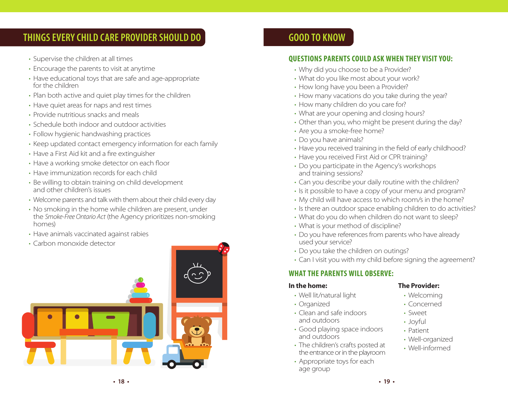# **THINGS EVERY CHILD CARE PROVIDER SHOULD DO**

- Supervise the children at all times
- Encourage the parents to visit at anytime
- Have educational toys that are safe and age-appropriate for the children
- Plan both active and quiet play times for the children
- Have quiet areas for naps and rest times
- Provide nutritious snacks and meals
- Schedule both indoor and outdoor activities
- Follow hygienic handwashing practices
- Keep updated contact emergency information for each family
- Have a First Aid kit and a fire extinguisher
- Have a working smoke detector on each floor
- Have immunization records for each child
- Be willing to obtain training on child development and other children's issues
- Welcome parents and talk with them about their child every day
- No smoking in the home while children are present, under the *Smoke-Free Ontario Act* (the Agency prioritizes non-smoking homes)
- Have animals vaccinated against rabies
- Carbon monoxide detector



# **GOOD TO KNOW**

#### **QUESTIONS PARENTS COULD ASK WHEN THEY VISIT YOU:**

- Why did you choose to be a Provider?
- What do you like most about your work?
- How long have you been a Provider?
- How many vacations do you take during the year?
- How many children do you care for?
- What are your opening and closing hours?
- Other than you, who might be present during the day?
- Are you a smoke-free home?
- Do you have animals?
- Have you received training in the field of early childhood?
- Have you received First Aid or CPR training?
- Do you participate in the Agency's workshops and training sessions?
- Can you describe your daily routine with the children?
- Is it possible to have a copy of your menu and program?
- My child will have access to which room/s in the home?
- Is there an outdoor space enabling children to do activities?
- What do you do when children do not want to sleep?
- What is your method of discipline?
- Do you have references from parents who have already used your service?
- Do you take the children on outings?
- Can I visit you with my child before signing the agreement?

### **WHAT THE PARENTS WILL OBSERVE:**

#### **In the home:**

- Well lit/natural light
- Organized
- Clean and safe indoors and outdoors
- Good playing space indoors and outdoors
- The children's crafts posted at the entrance or in the playroom
- Appropriate toys for each age group

#### **The Provider:**

- Welcoming
- Concerned
- Sweet
- Joyful
- Patient
- Well-organized
- Well-informed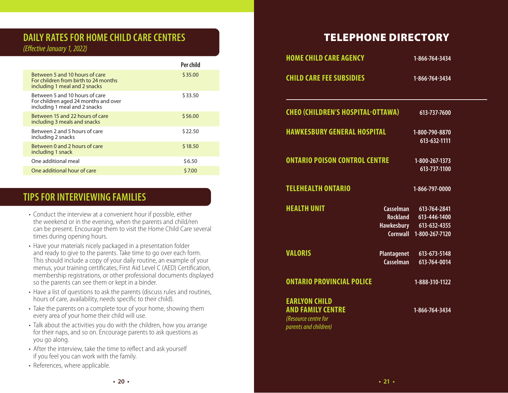# **DAILY RATES FOR HOME CHILD CARE CENTRES**

*(Effective January 1, 2022)*

|                                                                                                         | Per child |
|---------------------------------------------------------------------------------------------------------|-----------|
| Between 5 and 10 hours of care<br>For children from birth to 24 months<br>including 1 meal and 2 snacks | \$35.00   |
| Between 5 and 10 hours of care<br>For children aged 24 months and over<br>including 1 meal and 2 snacks | \$33.50   |
| Between 15 and 22 hours of care<br>including 3 meals and snacks                                         | \$56.00   |
| Between 2 and 5 hours of care<br>including 2 snacks                                                     | \$22.50   |
| Between 0 and 2 hours of care<br>including 1 snack                                                      | \$18.50   |
| One additional meal                                                                                     | \$6.50    |
| One additional hour of care                                                                             | \$7.00    |

# **TIPS FOR INTERVIEWING FAMILIES**

- Conduct the interview at a convenient hour if possible, either the weekend or in the evening, when the parents and child/ren can be present. Encourage them to visit the Home Child Care several times during opening hours.
- Have your materials nicely packaged in a presentation folder and ready to give to the parents. Take time to go over each form. This should include a copy of your daily routine, an example of your menus, your training certificates, First Aid Level C (AED) Certification, membership registrations, or other professional documents displayed so the parents can see them or kept in a binder.
- Have a list of questions to ask the parents (discuss rules and routines, hours of care, availability, needs specific to their child).
- Take the parents on a complete tour of your home, showing them every area of your home their child will use.
- Talk about the activities you do with the children, how you arrange for their naps, and so on. Encourage parents to ask questions as you go along.
- After the interview, take the time to reflect and ask yourself if you feel you can work with the family.
- References, where applicable.

# TELEPHONE DIRECTORY

| <b>HOME CHILD CARE AGENCY</b>                                                                     |                                 | 1-866-764-3434                                                                              |  |
|---------------------------------------------------------------------------------------------------|---------------------------------|---------------------------------------------------------------------------------------------|--|
| <b>CHILD CARE FEE SUBSIDIES</b>                                                                   |                                 | 1-866-764-3434                                                                              |  |
| <b>CHEO (CHILDREN'S HOSPITAL-OTTAWA)</b>                                                          |                                 | 613-737-7600                                                                                |  |
| <b>HAWKESBURY GENERAL HOSPITAL</b>                                                                |                                 | 1-800-790-8870<br>613-632-1111                                                              |  |
| <b>ONTARIO POISON CONTROL CENTRE</b>                                                              |                                 | 1-800-267-1373<br>613-737-1100                                                              |  |
| <b>TELEHEALTH ONTARIO</b>                                                                         |                                 | 1-866-797-0000                                                                              |  |
| <b>HEALTH UNIT</b>                                                                                | Casselman                       | 613-764-2841<br>Rockland 613-446-1400<br>Hawkesbury 613-632-4355<br>Cornwall 1-800-267-7120 |  |
| <b>VALORIS</b>                                                                                    | <b>Plantagenet</b><br>Casselman | 613-673-5148<br>613-764-0014                                                                |  |
| <b>ONTARIO PROVINCIAL POLICE</b>                                                                  |                                 | 1-888-310-1122                                                                              |  |
| <b>EARLYON CHILD</b><br><b>AND FAMILY CENTRE</b><br>(Resource centre for<br>parents and children) |                                 | 1-866-764-3434                                                                              |  |